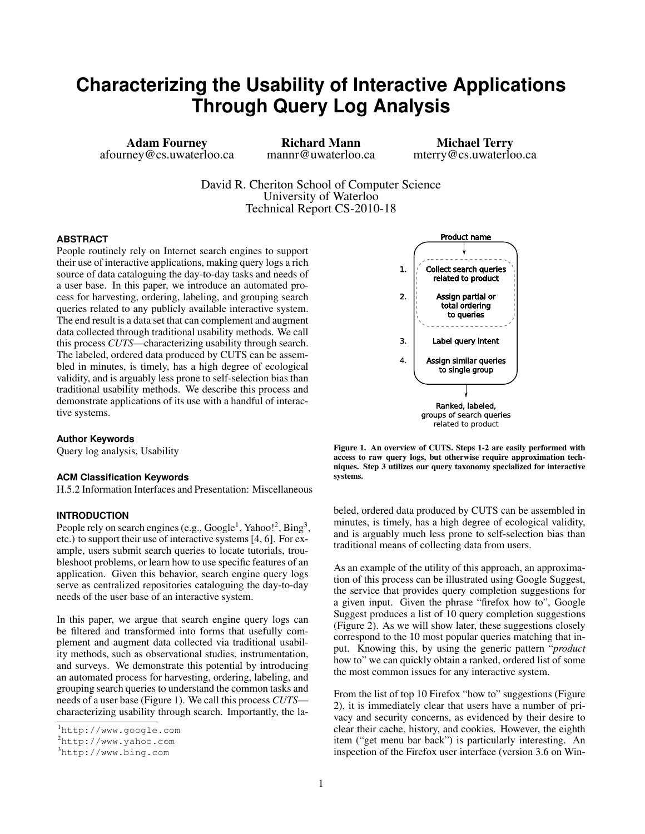# **Characterizing the Usability of Interactive Applications Through Query Log Analysis**

Adam Fourney afourney@cs.uwaterloo.ca

Richard Mann mannr@uwaterloo.ca

Michael Terry mterry@cs.uwaterloo.ca

David R. Cheriton School of Computer Science University of Waterloo Technical Report CS-2010-18

## **ABSTRACT**

People routinely rely on Internet search engines to support their use of interactive applications, making query logs a rich source of data cataloguing the day-to-day tasks and needs of a user base. In this paper, we introduce an automated process for harvesting, ordering, labeling, and grouping search queries related to any publicly available interactive system. The end result is a data set that can complement and augment data collected through traditional usability methods. We call this process *CUTS*—characterizing usability through search. The labeled, ordered data produced by CUTS can be assembled in minutes, is timely, has a high degree of ecological validity, and is arguably less prone to self-selection bias than traditional usability methods. We describe this process and demonstrate applications of its use with a handful of interactive systems.

#### **Author Keywords**

Query log analysis, Usability

#### **ACM Classification Keywords**

H.5.2 Information Interfaces and Presentation: Miscellaneous

# **INTRODUCTION**

People rely on search engines (e.g., Google<sup>[1](#page-0-0)</sup>, Yahoo!<sup>[2](#page-0-1)</sup>, Bing<sup>[3](#page-0-2)</sup>, etc.) to support their use of interactive systems [\[4,](#page-9-0) [6\]](#page-9-1). For example, users submit search queries to locate tutorials, troubleshoot problems, or learn how to use specific features of an application. Given this behavior, search engine query logs serve as centralized repositories cataloguing the day-to-day needs of the user base of an interactive system.

In this paper, we argue that search engine query logs can be filtered and transformed into forms that usefully complement and augment data collected via traditional usability methods, such as observational studies, instrumentation, and surveys. We demonstrate this potential by introducing an automated process for harvesting, ordering, labeling, and grouping search queries to understand the common tasks and needs of a user base (Figure [1\)](#page-0-3). We call this process *CUTS* characterizing usability through search. Importantly, the la-



<span id="page-0-3"></span>Figure 1. An overview of CUTS. Steps 1-2 are easily performed with access to raw query logs, but otherwise require approximation techniques. Step 3 utilizes our query taxonomy specialized for interactive systems.

beled, ordered data produced by CUTS can be assembled in minutes, is timely, has a high degree of ecological validity, and is arguably much less prone to self-selection bias than traditional means of collecting data from users.

As an example of the utility of this approach, an approximation of this process can be illustrated using Google Suggest, the service that provides query completion suggestions for a given input. Given the phrase "firefox how to", Google Suggest produces a list of 10 query completion suggestions (Figure [2\)](#page-1-0). As we will show later, these suggestions closely correspond to the 10 most popular queries matching that input. Knowing this, by using the generic pattern "*product* how to" we can quickly obtain a ranked, ordered list of some the most common issues for any interactive system.

From the list of top 10 Firefox "how to" suggestions (Figure [2\)](#page-1-0), it is immediately clear that users have a number of privacy and security concerns, as evidenced by their desire to clear their cache, history, and cookies. However, the eighth item ("get menu bar back") is particularly interesting. An inspection of the Firefox user interface (version 3.6 on Win-

<span id="page-0-0"></span><sup>1</sup><http://www.google.com>

<span id="page-0-1"></span><sup>2</sup><http://www.yahoo.com>

<span id="page-0-2"></span><sup>3</sup><http://www.bing.com>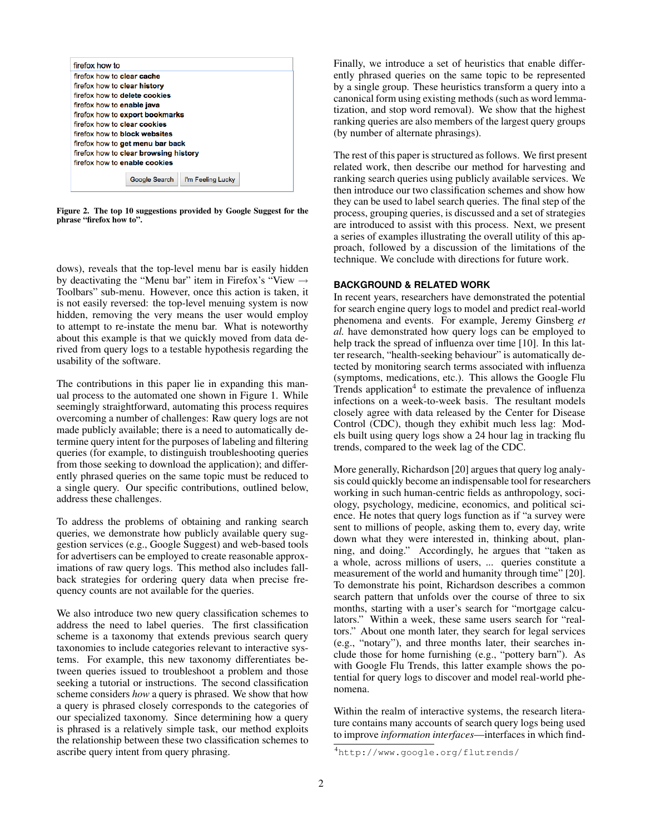

Figure 2. The top 10 suggestions provided by Google Suggest for the phrase "firefox how to".

<span id="page-1-0"></span>dows), reveals that the top-level menu bar is easily hidden by deactivating the "Menu bar" item in Firefox's "View  $\rightarrow$ Toolbars" sub-menu. However, once this action is taken, it is not easily reversed: the top-level menuing system is now hidden, removing the very means the user would employ to attempt to re-instate the menu bar. What is noteworthy about this example is that we quickly moved from data derived from query logs to a testable hypothesis regarding the usability of the software.

The contributions in this paper lie in expanding this manual process to the automated one shown in Figure [1.](#page-0-3) While seemingly straightforward, automating this process requires overcoming a number of challenges: Raw query logs are not made publicly available; there is a need to automatically determine query intent for the purposes of labeling and filtering queries (for example, to distinguish troubleshooting queries from those seeking to download the application); and differently phrased queries on the same topic must be reduced to a single query. Our specific contributions, outlined below, address these challenges.

To address the problems of obtaining and ranking search queries, we demonstrate how publicly available query suggestion services (e.g., Google Suggest) and web-based tools for advertisers can be employed to create reasonable approximations of raw query logs. This method also includes fallback strategies for ordering query data when precise frequency counts are not available for the queries.

We also introduce two new query classification schemes to address the need to label queries. The first classification scheme is a taxonomy that extends previous search query taxonomies to include categories relevant to interactive systems. For example, this new taxonomy differentiates between queries issued to troubleshoot a problem and those seeking a tutorial or instructions. The second classification scheme considers *how* a query is phrased. We show that how a query is phrased closely corresponds to the categories of our specialized taxonomy. Since determining how a query is phrased is a relatively simple task, our method exploits the relationship between these two classification schemes to ascribe query intent from query phrasing.

Finally, we introduce a set of heuristics that enable differently phrased queries on the same topic to be represented by a single group. These heuristics transform a query into a canonical form using existing methods (such as word lemmatization, and stop word removal). We show that the highest ranking queries are also members of the largest query groups (by number of alternate phrasings).

The rest of this paper is structured as follows. We first present related work, then describe our method for harvesting and ranking search queries using publicly available services. We then introduce our two classification schemes and show how they can be used to label search queries. The final step of the process, grouping queries, is discussed and a set of strategies are introduced to assist with this process. Next, we present a series of examples illustrating the overall utility of this approach, followed by a discussion of the limitations of the technique. We conclude with directions for future work.

# **BACKGROUND & RELATED WORK**

In recent years, researchers have demonstrated the potential for search engine query logs to model and predict real-world phenomena and events. For example, Jeremy Ginsberg *et al.* have demonstrated how query logs can be employed to help track the spread of influenza over time [\[10\]](#page-9-2). In this latter research, "health-seeking behaviour" is automatically detected by monitoring search terms associated with influenza (symptoms, medications, etc.). This allows the Google Flu Trends application<sup>[4](#page-1-1)</sup> to estimate the prevalence of influenza infections on a week-to-week basis. The resultant models closely agree with data released by the Center for Disease Control (CDC), though they exhibit much less lag: Models built using query logs show a 24 hour lag in tracking flu trends, compared to the week lag of the CDC.

More generally, Richardson [\[20\]](#page-9-3) argues that query log analysis could quickly become an indispensable tool for researchers working in such human-centric fields as anthropology, sociology, psychology, medicine, economics, and political science. He notes that query logs function as if "a survey were sent to millions of people, asking them to, every day, write down what they were interested in, thinking about, planning, and doing." Accordingly, he argues that "taken as a whole, across millions of users, ... queries constitute a measurement of the world and humanity through time" [\[20\]](#page-9-3). To demonstrate his point, Richardson describes a common search pattern that unfolds over the course of three to six months, starting with a user's search for "mortgage calculators." Within a week, these same users search for "realtors." About one month later, they search for legal services (e.g., "notary"), and three months later, their searches include those for home furnishing (e.g., "pottery barn"). As with Google Flu Trends, this latter example shows the potential for query logs to discover and model real-world phenomena.

Within the realm of interactive systems, the research literature contains many accounts of search query logs being used to improve *information interfaces*—interfaces in which find-

<span id="page-1-1"></span><sup>4</sup><http://www.google.org/flutrends/>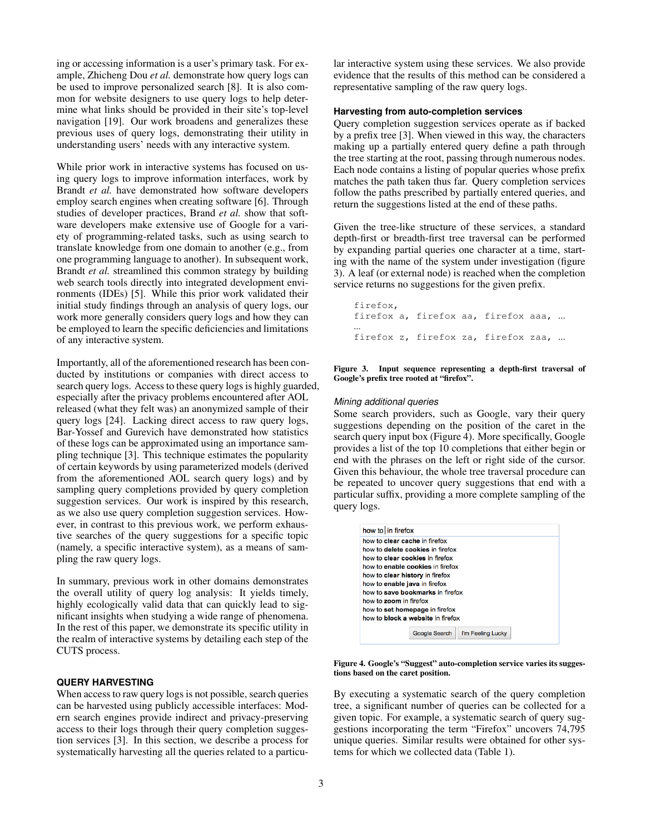ing or accessing information is a user's primary task. For example, Zhicheng Dou *et al.* demonstrate how query logs can be used to improve personalized search [\[8\]](#page-9-4). It is also common for website designers to use query logs to help determine what links should be provided in their site's top-level navigation [\[19\]](#page-9-5). Our work broadens and generalizes these previous uses of query logs, demonstrating their utility in understanding users' needs with any interactive system.

While prior work in interactive systems has focused on using query logs to improve information interfaces, work by Brandt *et al.* have demonstrated how software developers employ search engines when creating software [\[6\]](#page-9-1). Through studies of developer practices, Brand *et al.* show that software developers make extensive use of Google for a variety of programming-related tasks, such as using search to translate knowledge from one domain to another (e.g., from one programming language to another). In subsequent work, Brandt *et al.* streamlined this common strategy by building web search tools directly into integrated development environments (IDEs) [\[5\]](#page-9-6). While this prior work validated their initial study findings through an analysis of query logs, our work more generally considers query logs and how they can be employed to learn the specific deficiencies and limitations of any interactive system.

Importantly, all of the aforementioned research has been conducted by institutions or companies with direct access to search query logs. Access to these query logs is highly guarded, especially after the privacy problems encountered after AOL released (what they felt was) an anonymized sample of their query logs [\[24\]](#page-9-7). Lacking direct access to raw query logs, Bar-Yossef and Gurevich have demonstrated how statistics of these logs can be approximated using an importance sampling technique [\[3\]](#page-9-8). This technique estimates the popularity of certain keywords by using parameterized models (derived from the aforementioned AOL search query logs) and by sampling query completions provided by query completion suggestion services. Our work is inspired by this research, as we also use query completion suggestion services. However, in contrast to this previous work, we perform exhaustive searches of the query suggestions for a specific topic (namely, a specific interactive system), as a means of sampling the raw query logs.

In summary, previous work in other domains demonstrates the overall utility of query log analysis: It yields timely, highly ecologically valid data that can quickly lead to significant insights when studying a wide range of phenomena. In the rest of this paper, we demonstrate its specific utility in the realm of interactive systems by detailing each step of the CUTS process.

## **QUERY HARVESTING**

When access to raw query logs is not possible, search queries can be harvested using publicly accessible interfaces: Modern search engines provide indirect and privacy-preserving access to their logs through their query completion suggestion services [\[3\]](#page-9-8). In this section, we describe a process for systematically harvesting all the queries related to a particular interactive system using these services. We also provide evidence that the results of this method can be considered a representative sampling of the raw query logs.

## **Harvesting from auto-completion services**

Query completion suggestion services operate as if backed by a prefix tree [\[3\]](#page-9-8). When viewed in this way, the characters making up a partially entered query define a path through the tree starting at the root, passing through numerous nodes. Each node contains a listing of popular queries whose prefix matches the path taken thus far. Query completion services follow the paths prescribed by partially entered queries, and return the suggestions listed at the end of these paths.

Given the tree-like structure of these services, a standard depth-first or breadth-first tree traversal can be performed by expanding partial queries one character at a time, starting with the name of the system under investigation (figure [3\)](#page-2-0). A leaf (or external node) is reached when the completion service returns no suggestions for the given prefix.

firefox, firefox a, firefox aa, firefox aaa, ... ... firefox z, firefox za, firefox zaa, ...

#### <span id="page-2-0"></span>Figure 3. Input sequence representing a depth-first traversal of Google's prefix tree rooted at "firefox".

#### *Mining additional queries*

Some search providers, such as Google, vary their query suggestions depending on the position of the caret in the search query input box (Figure [4\)](#page-2-1). More specifically, Google provides a list of the top 10 completions that either begin or end with the phrases on the left or right side of the cursor. Given this behaviour, the whole tree traversal procedure can be repeated to uncover query suggestions that end with a particular suffix, providing a more complete sampling of the query logs.

| how to in firefox                        |               |                   |
|------------------------------------------|---------------|-------------------|
| how to <b>clear cache</b> in firefox     |               |                   |
| how to delete cookies in firefox         |               |                   |
| how to clear cookies in firefox          |               |                   |
| how to enable cookies in firefox         |               |                   |
| how to <b>clear history</b> in firefox   |               |                   |
| how to enable java in firefox            |               |                   |
| how to save bookmarks in firefox         |               |                   |
| how to zoom in firefox                   |               |                   |
| how to set homepage in firefox           |               |                   |
| how to <b>block a website</b> in firefox |               |                   |
|                                          |               |                   |
|                                          | Google Search | I'm Feeling Lucky |
|                                          |               |                   |

<span id="page-2-1"></span>

By executing a systematic search of the query completion tree, a significant number of queries can be collected for a given topic. For example, a systematic search of query suggestions incorporating the term "Firefox" uncovers 74,795 unique queries. Similar results were obtained for other systems for which we collected data (Table [1\)](#page-3-0).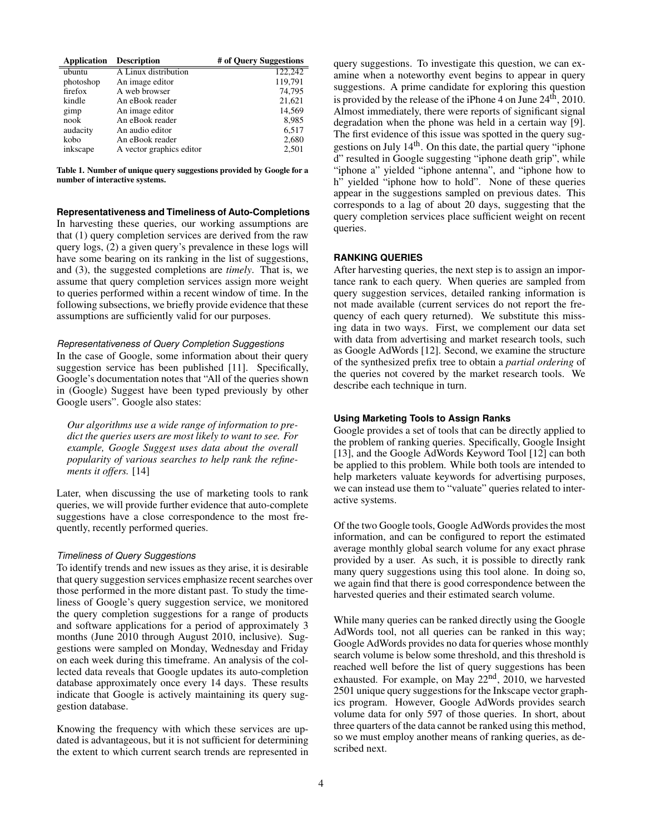| <b>Application</b> | <b>Description</b>       | # of Ouery Suggestions |
|--------------------|--------------------------|------------------------|
| ubuntu             | A Linux distribution     | 122,242                |
| photoshop          | An image editor          | 119,791                |
| firefox            | A web browser            | 74.795                 |
| kindle             | An eBook reader          | 21,621                 |
| gimp               | An image editor          | 14,569                 |
| nook               | An eBook reader          | 8,985                  |
| audacity           | An audio editor          | 6,517                  |
| kobo               | An eBook reader          | 2,680                  |
| inkscape           | A vector graphics editor | 2,501                  |

<span id="page-3-0"></span>Table 1. Number of unique query suggestions provided by Google for a number of interactive systems.

**Representativeness and Timeliness of Auto-Completions**

In harvesting these queries, our working assumptions are that (1) query completion services are derived from the raw query logs, (2) a given query's prevalence in these logs will have some bearing on its ranking in the list of suggestions, and (3), the suggested completions are *timely*. That is, we assume that query completion services assign more weight to queries performed within a recent window of time. In the following subsections, we briefly provide evidence that these assumptions are sufficiently valid for our purposes.

#### *Representativeness of Query Completion Suggestions*

In the case of Google, some information about their query suggestion service has been published [\[11\]](#page-9-9). Specifically, Google's documentation notes that "All of the queries shown in (Google) Suggest have been typed previously by other Google users". Google also states:

*Our algorithms use a wide range of information to predict the queries users are most likely to want to see. For example, Google Suggest uses data about the overall popularity of various searches to help rank the refinements it offers.* [\[14\]](#page-9-10)

Later, when discussing the use of marketing tools to rank queries, we will provide further evidence that auto-complete suggestions have a close correspondence to the most frequently, recently performed queries.

#### *Timeliness of Query Suggestions*

To identify trends and new issues as they arise, it is desirable that query suggestion services emphasize recent searches over those performed in the more distant past. To study the timeliness of Google's query suggestion service, we monitored the query completion suggestions for a range of products and software applications for a period of approximately 3 months (June 2010 through August 2010, inclusive). Suggestions were sampled on Monday, Wednesday and Friday on each week during this timeframe. An analysis of the collected data reveals that Google updates its auto-completion database approximately once every 14 days. These results indicate that Google is actively maintaining its query suggestion database.

Knowing the frequency with which these services are updated is advantageous, but it is not sufficient for determining the extent to which current search trends are represented in query suggestions. To investigate this question, we can examine when a noteworthy event begins to appear in query suggestions. A prime candidate for exploring this question is provided by the release of the iPhone 4 on June 24<sup>th</sup>, 2010. Almost immediately, there were reports of significant signal degradation when the phone was held in a certain way [\[9\]](#page-9-11). The first evidence of this issue was spotted in the query suggestions on July 14th. On this date, the partial query "iphone d" resulted in Google suggesting "iphone death grip", while "iphone a" yielded "iphone antenna", and "iphone how to h" yielded "iphone how to hold". None of these queries appear in the suggestions sampled on previous dates. This corresponds to a lag of about 20 days, suggesting that the query completion services place sufficient weight on recent queries.

## **RANKING QUERIES**

After harvesting queries, the next step is to assign an importance rank to each query. When queries are sampled from query suggestion services, detailed ranking information is not made available (current services do not report the frequency of each query returned). We substitute this missing data in two ways. First, we complement our data set with data from advertising and market research tools, such as Google AdWords [\[12\]](#page-9-12). Second, we examine the structure of the synthesized prefix tree to obtain a *partial ordering* of the queries not covered by the market research tools. We describe each technique in turn.

# **Using Marketing Tools to Assign Ranks**

Google provides a set of tools that can be directly applied to the problem of ranking queries. Specifically, Google Insight [\[13\]](#page-9-13), and the Google AdWords Keyword Tool [\[12\]](#page-9-12) can both be applied to this problem. While both tools are intended to help marketers valuate keywords for advertising purposes, we can instead use them to "valuate" queries related to interactive systems.

Of the two Google tools, Google AdWords provides the most information, and can be configured to report the estimated average monthly global search volume for any exact phrase provided by a user. As such, it is possible to directly rank many query suggestions using this tool alone. In doing so, we again find that there is good correspondence between the harvested queries and their estimated search volume.

While many queries can be ranked directly using the Google AdWords tool, not all queries can be ranked in this way; Google AdWords provides no data for queries whose monthly search volume is below some threshold, and this threshold is reached well before the list of query suggestions has been exhausted. For example, on May 22nd, 2010, we harvested 2501 unique query suggestions for the Inkscape vector graphics program. However, Google AdWords provides search volume data for only 597 of those queries. In short, about three quarters of the data cannot be ranked using this method, so we must employ another means of ranking queries, as described next.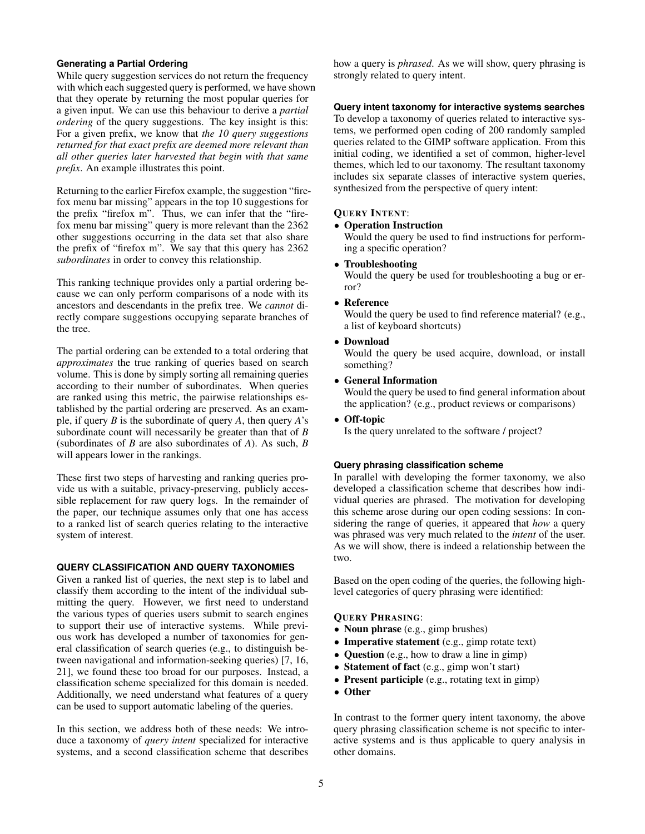# **Generating a Partial Ordering**

While query suggestion services do not return the frequency with which each suggested query is performed, we have shown that they operate by returning the most popular queries for a given input. We can use this behaviour to derive a *partial ordering* of the query suggestions. The key insight is this: For a given prefix, we know that *the 10 query suggestions returned for that exact prefix are deemed more relevant than all other queries later harvested that begin with that same prefix*. An example illustrates this point.

Returning to the earlier Firefox example, the suggestion "firefox menu bar missing" appears in the top 10 suggestions for the prefix "firefox m". Thus, we can infer that the "firefox menu bar missing" query is more relevant than the 2362 other suggestions occurring in the data set that also share the prefix of "firefox m". We say that this query has 2362 *subordinates* in order to convey this relationship.

This ranking technique provides only a partial ordering because we can only perform comparisons of a node with its ancestors and descendants in the prefix tree. We *cannot* directly compare suggestions occupying separate branches of the tree.

The partial ordering can be extended to a total ordering that *approximates* the true ranking of queries based on search volume. This is done by simply sorting all remaining queries according to their number of subordinates. When queries are ranked using this metric, the pairwise relationships established by the partial ordering are preserved. As an example, if query *B* is the subordinate of query *A*, then query *A*'s subordinate count will necessarily be greater than that of *B* (subordinates of *B* are also subordinates of *A*). As such, *B* will appears lower in the rankings.

These first two steps of harvesting and ranking queries provide us with a suitable, privacy-preserving, publicly accessible replacement for raw query logs. In the remainder of the paper, our technique assumes only that one has access to a ranked list of search queries relating to the interactive system of interest.

# **QUERY CLASSIFICATION AND QUERY TAXONOMIES**

Given a ranked list of queries, the next step is to label and classify them according to the intent of the individual submitting the query. However, we first need to understand the various types of queries users submit to search engines to support their use of interactive systems. While previous work has developed a number of taxonomies for general classification of search queries (e.g., to distinguish between navigational and information-seeking queries) [\[7,](#page-9-14) [16,](#page-9-15) [21\]](#page-9-16), we found these too broad for our purposes. Instead, a classification scheme specialized for this domain is needed. Additionally, we need understand what features of a query can be used to support automatic labeling of the queries.

In this section, we address both of these needs: We introduce a taxonomy of *query intent* specialized for interactive systems, and a second classification scheme that describes how a query is *phrased*. As we will show, query phrasing is strongly related to query intent.

## **Query intent taxonomy for interactive systems searches**

To develop a taxonomy of queries related to interactive systems, we performed open coding of 200 randomly sampled queries related to the GIMP software application. From this initial coding, we identified a set of common, higher-level themes, which led to our taxonomy. The resultant taxonomy includes six separate classes of interactive system queries, synthesized from the perspective of query intent:

#### QUERY INTENT:

#### • Operation Instruction

Would the query be used to find instructions for performing a specific operation?

# • Troubleshooting

Would the query be used for troubleshooting a bug or error?

## • Reference

Would the query be used to find reference material? (e.g., a list of keyboard shortcuts)

#### • Download

Would the query be used acquire, download, or install something?

## • General Information

Would the query be used to find general information about the application? (e.g., product reviews or comparisons)

# • Off-topic

Is the query unrelated to the software / project?

# **Query phrasing classification scheme**

In parallel with developing the former taxonomy, we also developed a classification scheme that describes how individual queries are phrased. The motivation for developing this scheme arose during our open coding sessions: In considering the range of queries, it appeared that *how* a query was phrased was very much related to the *intent* of the user. As we will show, there is indeed a relationship between the two.

Based on the open coding of the queries, the following highlevel categories of query phrasing were identified:

## QUERY PHRASING:

- Noun phrase (e.g., gimp brushes)
- Imperative statement (e.g., gimp rotate text)
- Question (e.g., how to draw a line in gimp)
- Statement of fact (e.g., gimp won't start)
- Present participle (e.g., rotating text in gimp)
- Other

In contrast to the former query intent taxonomy, the above query phrasing classification scheme is not specific to interactive systems and is thus applicable to query analysis in other domains.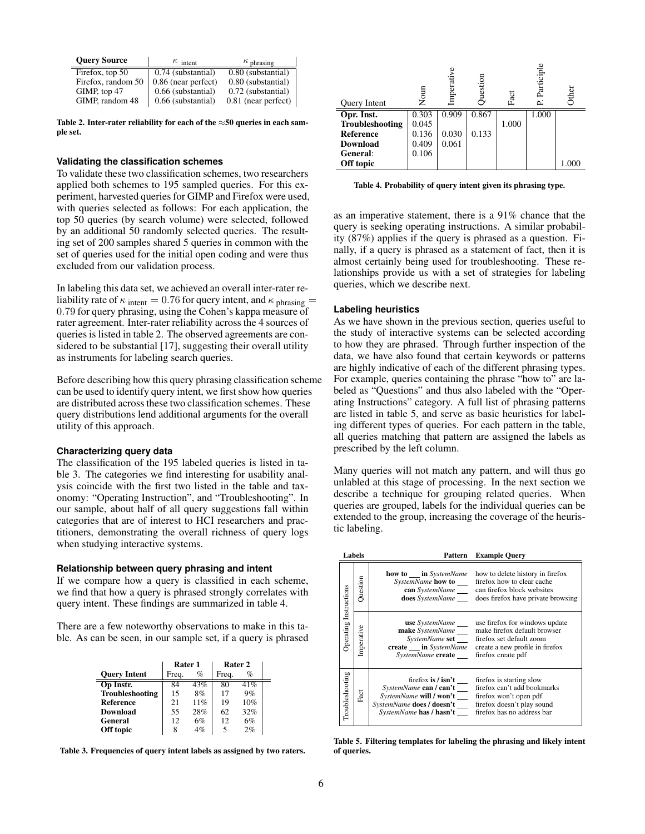| <b>Ouery Source</b> | $\kappa$ intent     | $\kappa$ phrasing   |
|---------------------|---------------------|---------------------|
| Firefox, top $50$   | 0.74 (substantial)  | 0.80 (substantial)  |
| Firefox, random 50  | 0.86 (near perfect) | 0.80 (substantial)  |
| GIMP, top 47        | 0.66 (substantial)  | 0.72 (substantial)  |
| GIMP, random 48     | 0.66 (substantial)  | 0.81 (near perfect) |

<span id="page-5-0"></span>Table 2. Inter-rater reliability for each of the  $\approx$ 50 queries in each sample set.

## **Validating the classification schemes**

To validate these two classification schemes, two researchers applied both schemes to 195 sampled queries. For this experiment, harvested queries for GIMP and Firefox were used, with queries selected as follows: For each application, the top 50 queries (by search volume) were selected, followed by an additional 50 randomly selected queries. The resulting set of 200 samples shared 5 queries in common with the set of queries used for the initial open coding and were thus excluded from our validation process.

In labeling this data set, we achieved an overall inter-rater reliability rate of  $\kappa$  intent = 0.76 for query intent, and  $\kappa$  phrasing = 0.79 for query phrasing, using the Cohen's kappa measure of rater agreement. Inter-rater reliability across the 4 sources of queries is listed in table [2.](#page-5-0) The observed agreements are considered to be substantial [\[17\]](#page-9-17), suggesting their overall utility as instruments for labeling search queries.

Before describing how this query phrasing classification scheme can be used to identify query intent, we first show how queries are distributed across these two classification schemes. These query distributions lend additional arguments for the overall utility of this approach.

## **Characterizing query data**

The classification of the 195 labeled queries is listed in table [3.](#page-5-1) The categories we find interesting for usability analysis coincide with the first two listed in the table and taxonomy: "Operating Instruction", and "Troubleshooting". In our sample, about half of all query suggestions fall within categories that are of interest to HCI researchers and practitioners, demonstrating the overall richness of query logs when studying interactive systems.

#### **Relationship between query phrasing and intent**

If we compare how a query is classified in each scheme, we find that how a query is phrased strongly correlates with query intent. These findings are summarized in table [4.](#page-5-2)

There are a few noteworthy observations to make in this table. As can be seen, in our sample set, if a query is phrased

|                     | Rater 1 |      | Rater 2 |      |  |
|---------------------|---------|------|---------|------|--|
| <b>Ouery Intent</b> | Freq.   | $\%$ | Freq.   | $\%$ |  |
| Op Instr.           | 84      | 43%  | 80      | 41%  |  |
| Troubleshooting     | 15      | 8%   | 17      | 9%   |  |
| Reference           | 21      | 11%  | 19      | 10%  |  |
| <b>Download</b>     | 55      | 28%  | 62      | 32%  |  |
| General             | 12      | 6%   | 12      | 6%   |  |
| Off topic           | 8       | 4%   | 5       | 2%   |  |

<span id="page-5-1"></span>Table 3. Frequencies of query intent labels as assigned by two raters.

| Query Intent     | Nour  | Imperative | estion | Fact  | Participl<br>2 | Other |
|------------------|-------|------------|--------|-------|----------------|-------|
| Opr. Inst.       | 0.303 | 0.909      | 0.867  |       | 1.000          |       |
| Troubleshooting  | 0.045 |            |        | 1.000 |                |       |
| <b>Reference</b> | 0.136 | 0.030      | 0.133  |       |                |       |
| <b>Download</b>  | 0.409 | 0.061      |        |       |                |       |
| General:         | 0.106 |            |        |       |                |       |
| Off topic        |       |            |        |       |                | 1.000 |

<span id="page-5-2"></span>Table 4. Probability of query intent given its phrasing type.

as an imperative statement, there is a 91% chance that the query is seeking operating instructions. A similar probability (87%) applies if the query is phrased as a question. Finally, if a query is phrased as a statement of fact, then it is almost certainly being used for troubleshooting. These relationships provide us with a set of strategies for labeling queries, which we describe next.

#### **Labeling heuristics**

As we have shown in the previous section, queries useful to the study of interactive systems can be selected according to how they are phrased. Through further inspection of the data, we have also found that certain keywords or patterns are highly indicative of each of the different phrasing types. For example, queries containing the phrase "how to" are labeled as "Questions" and thus also labeled with the "Operating Instructions" category. A full list of phrasing patterns are listed in table [5,](#page-5-3) and serve as basic heuristics for labeling different types of queries. For each pattern in the table, all queries matching that pattern are assigned the labels as prescribed by the left column.

Many queries will not match any pattern, and will thus go unlabled at this stage of processing. In the next section we describe a technique for grouping related queries. When queries are grouped, labels for the individual queries can be extended to the group, increasing the coverage of the heuristic labeling.

|  | Labels                 |                                                              |                                                                                                                                                                                                          | Pattern Example Query                                                                                                                                                                          |
|--|------------------------|--------------------------------------------------------------|----------------------------------------------------------------------------------------------------------------------------------------------------------------------------------------------------------|------------------------------------------------------------------------------------------------------------------------------------------------------------------------------------------------|
|  | Question               | <b>how to in</b> <i>SystemName</i><br><b>does</b> SystemName | how to delete history in firefox<br>SystemName how to firefox how to clear cache<br><b>can</b> SystemName can firefox block websites<br>does firefox have private browsing                               |                                                                                                                                                                                                |
|  | Operating Instructions | Imperative                                                   | make SystemName<br>create ___ in SystemName<br>SystemName create                                                                                                                                         | <b>use</b> SystemName _____ use firefox for windows update<br>make firefox default browser<br>SystemName set firefox set default zoom<br>create a new profile in firefox<br>firefox create pdf |
|  | Troubleshooting        | Fact                                                         | SystemName can / can't ____ firefox can't add bookmarks<br>SystemName will / won't ____ firefox won't open pdf<br>SystemName does / doesn't firefox doesn't play sound<br><i>SystemName</i> has / hasn't | firefox is $\sin^2 t$ firefox is starting slow<br>firefox has no address bar                                                                                                                   |

<span id="page-5-3"></span>Table 5. Filtering templates for labeling the phrasing and likely intent of queries.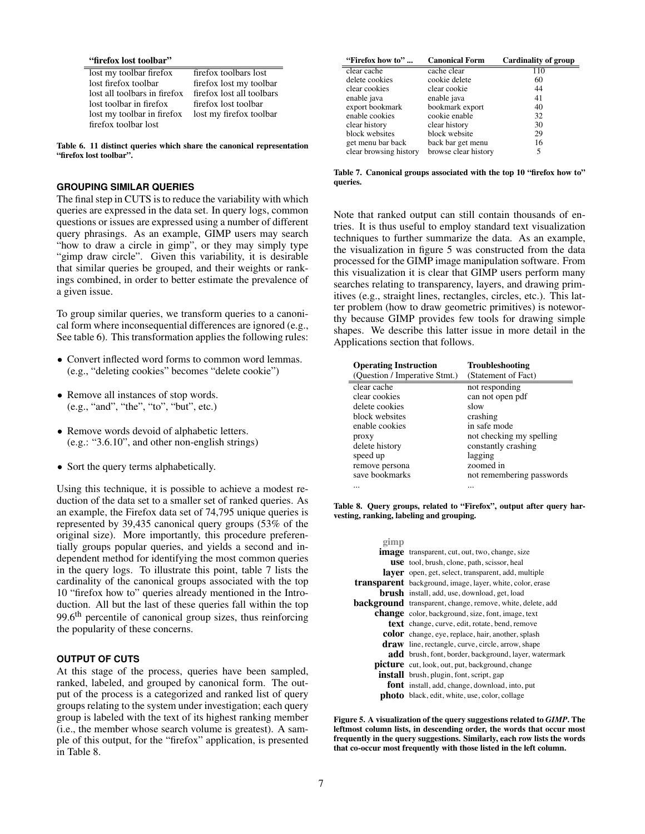#### "firefox lost toolbar"

lost my toolbar firefox firefox toolbars lost<br>lost firefox toolbar<br>firefox lost my tool lost all toolbars in firefox firefox lost all tool<br>lost toolbar in firefox firefox lost toolbar lost toolbar in firefox firefox lost toolbar<br>lost my toolbar in firefox lost my firefox toolbar lost my toolbar in firefox firefox toolbar lost

firefox lost my toolbar<br>firefox lost all toolbars

<span id="page-6-0"></span>Table 6. 11 distinct queries which share the canonical representation "firefox lost toolbar".

# **GROUPING SIMILAR QUERIES**

The final step in CUTS is to reduce the variability with which queries are expressed in the data set. In query logs, common questions or issues are expressed using a number of different query phrasings. As an example, GIMP users may search "how to draw a circle in gimp", or they may simply type "gimp draw circle". Given this variability, it is desirable that similar queries be grouped, and their weights or rankings combined, in order to better estimate the prevalence of a given issue.

To group similar queries, we transform queries to a canonical form where inconsequential differences are ignored (e.g., See table [6\)](#page-6-0). This transformation applies the following rules:

- Convert inflected word forms to common word lemmas. (e.g., "deleting cookies" becomes "delete cookie")
- Remove all instances of stop words. (e.g., "and", "the", "to", "but", etc.)
- Remove words devoid of alphabetic letters. (e.g.: "3.6.10", and other non-english strings)
- Sort the query terms alphabetically.

Using this technique, it is possible to achieve a modest reduction of the data set to a smaller set of ranked queries. As an example, the Firefox data set of 74,795 unique queries is represented by 39,435 canonical query groups (53% of the original size). More importantly, this procedure preferentially groups popular queries, and yields a second and independent method for identifying the most common queries in the query logs. To illustrate this point, table [7](#page-6-1) lists the cardinality of the canonical groups associated with the top 10 "firefox how to" queries already mentioned in the Introduction. All but the last of these queries fall within the top 99.6<sup>th</sup> percentile of canonical group sizes, thus reinforcing the popularity of these concerns.

# **OUTPUT OF CUTS**

At this stage of the process, queries have been sampled, ranked, labeled, and grouped by canonical form. The output of the process is a categorized and ranked list of query groups relating to the system under investigation; each query group is labeled with the text of its highest ranking member (i.e., the member whose search volume is greatest). A sample of this output, for the "firefox" application, is presented in Table [8.](#page-6-2)

| "Firefox how to"       | <b>Canonical Form</b> | Cardinality of group |
|------------------------|-----------------------|----------------------|
| clear cache            | cache clear           | 110                  |
| delete cookies         | cookie delete         | 60                   |
| clear cookies          | clear cookie          | 44                   |
| enable java            | enable java           | 41                   |
| export bookmark        | bookmark export       | 40                   |
| enable cookies         | cookie enable         | 32                   |
| clear history          | clear history         | 30                   |
| block websites         | block website         | 29                   |
| get menu bar back      | back bar get menu     | 16                   |
| clear browsing history | browse clear history  | 5                    |

<span id="page-6-1"></span>Table 7. Canonical groups associated with the top 10 "firefox how to" queries.

Note that ranked output can still contain thousands of entries. It is thus useful to employ standard text visualization techniques to further summarize the data. As an example, the visualization in figure [5](#page-6-3) was constructed from the data processed for the GIMP image manipulation software. From this visualization it is clear that GIMP users perform many searches relating to transparency, layers, and drawing primitives (e.g., straight lines, rectangles, circles, etc.). This latter problem (how to draw geometric primitives) is noteworthy because GIMP provides few tools for drawing simple shapes. We describe this latter issue in more detail in the Applications section that follows.

| <b>Operating Instruction</b><br>(Question / Imperative Stmt.) | <b>Troubleshooting</b><br>(Statement of Fact) |
|---------------------------------------------------------------|-----------------------------------------------|
| clear cache                                                   | not responding                                |
| clear cookies                                                 | can not open pdf                              |
| delete cookies                                                | slow                                          |
| block websites                                                | crashing                                      |
| enable cookies                                                | in safe mode                                  |
| proxy                                                         | not checking my spelling                      |
| delete history                                                | constantly crashing                           |
| speed up                                                      | lagging                                       |
| remove persona                                                | zoomed in                                     |
| save bookmarks                                                | not remembering passwords                     |
|                                                               |                                               |

<span id="page-6-2"></span>Table 8. Query groups, related to "Firefox", output after query harvesting, ranking, labeling and grouping.

| gimp |                                                                   |
|------|-------------------------------------------------------------------|
|      | <b>image</b> transparent, cut, out, two, change, size             |
|      | use tool, brush, clone, path, scissor, heal                       |
|      | <b>layer</b> open, get, select, transparent, add, multiple        |
|      | <b>transparent</b> background, image, layer, white, color, erase  |
|      | <b>brush</b> install, add, use, download, get, load               |
|      | <b>background</b> transparent, change, remove, white, delete, add |
|      | <b>change</b> color, background, size, font, image, text          |
|      | <b>text</b> change, curve, edit, rotate, bend, remove             |
|      | <b>color</b> change, eye, replace, hair, another, splash          |
|      | <b>draw</b> line, rectangle, curve, circle, arrow, shape          |
|      | <b>add</b> brush, font, border, background, layer, watermark      |
|      | <b>picture</b> cut, look, out, put, background, change            |
|      | <b>install</b> brush, plugin, font, script, gap                   |
|      | <b>font</b> install, add, change, download, into, put             |
|      | <b>photo</b> black, edit, white, use, color, collage              |

<span id="page-6-3"></span>Figure 5. A visualization of the query suggestions related to *GIMP*. The leftmost column lists, in descending order, the words that occur most frequently in the query suggestions. Similarly, each row lists the words that co-occur most frequently with those listed in the left column.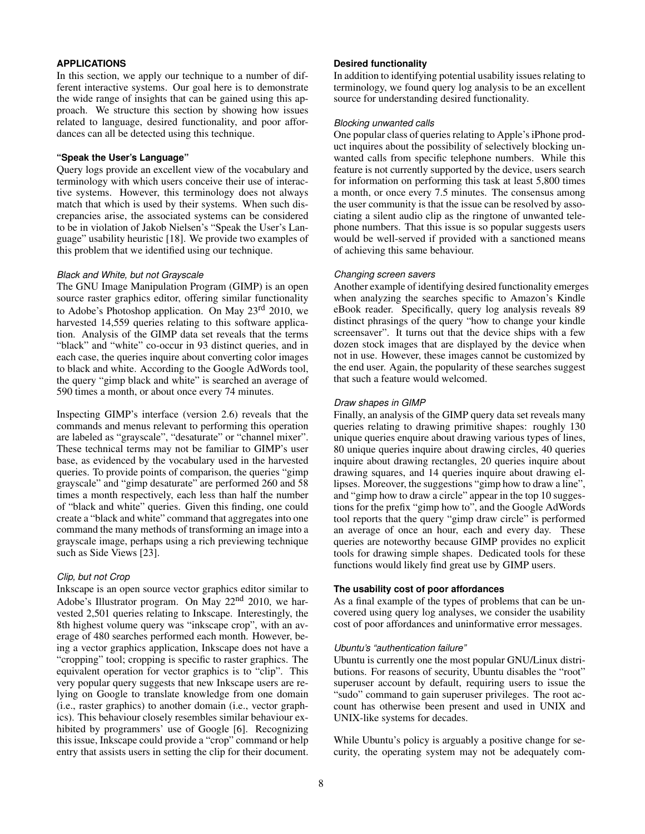# **APPLICATIONS**

In this section, we apply our technique to a number of different interactive systems. Our goal here is to demonstrate the wide range of insights that can be gained using this approach. We structure this section by showing how issues related to language, desired functionality, and poor affordances can all be detected using this technique.

## **"Speak the User's Language"**

Query logs provide an excellent view of the vocabulary and terminology with which users conceive their use of interactive systems. However, this terminology does not always match that which is used by their systems. When such discrepancies arise, the associated systems can be considered to be in violation of Jakob Nielsen's "Speak the User's Language" usability heuristic [\[18\]](#page-9-18). We provide two examples of this problem that we identified using our technique.

#### *Black and White, but not Grayscale*

The GNU Image Manipulation Program (GIMP) is an open source raster graphics editor, offering similar functionality to Adobe's Photoshop application. On May 23rd 2010, we harvested 14,559 queries relating to this software application. Analysis of the GIMP data set reveals that the terms "black" and "white" co-occur in 93 distinct queries, and in each case, the queries inquire about converting color images to black and white. According to the Google AdWords tool, the query "gimp black and white" is searched an average of 590 times a month, or about once every 74 minutes.

Inspecting GIMP's interface (version 2.6) reveals that the commands and menus relevant to performing this operation are labeled as "grayscale", "desaturate" or "channel mixer". These technical terms may not be familiar to GIMP's user base, as evidenced by the vocabulary used in the harvested queries. To provide points of comparison, the queries "gimp grayscale" and "gimp desaturate" are performed 260 and 58 times a month respectively, each less than half the number of "black and white" queries. Given this finding, one could create a "black and white" command that aggregates into one command the many methods of transforming an image into a grayscale image, perhaps using a rich previewing technique such as Side Views [\[23\]](#page-9-19).

#### *Clip, but not Crop*

Inkscape is an open source vector graphics editor similar to Adobe's Illustrator program. On May  $22<sup>nd</sup>$  2010, we harvested 2,501 queries relating to Inkscape. Interestingly, the 8th highest volume query was "inkscape crop", with an average of 480 searches performed each month. However, being a vector graphics application, Inkscape does not have a "cropping" tool; cropping is specific to raster graphics. The equivalent operation for vector graphics is to "clip". This very popular query suggests that new Inkscape users are relying on Google to translate knowledge from one domain (i.e., raster graphics) to another domain (i.e., vector graphics). This behaviour closely resembles similar behaviour exhibited by programmers' use of Google [\[6\]](#page-9-1). Recognizing this issue, Inkscape could provide a "crop" command or help entry that assists users in setting the clip for their document.

## **Desired functionality**

In addition to identifying potential usability issues relating to terminology, we found query log analysis to be an excellent source for understanding desired functionality.

## *Blocking unwanted calls*

One popular class of queries relating to Apple's iPhone product inquires about the possibility of selectively blocking unwanted calls from specific telephone numbers. While this feature is not currently supported by the device, users search for information on performing this task at least 5,800 times a month, or once every 7.5 minutes. The consensus among the user community is that the issue can be resolved by associating a silent audio clip as the ringtone of unwanted telephone numbers. That this issue is so popular suggests users would be well-served if provided with a sanctioned means of achieving this same behaviour.

#### *Changing screen savers*

Another example of identifying desired functionality emerges when analyzing the searches specific to Amazon's Kindle eBook reader. Specifically, query log analysis reveals 89 distinct phrasings of the query "how to change your kindle screensaver". It turns out that the device ships with a few dozen stock images that are displayed by the device when not in use. However, these images cannot be customized by the end user. Again, the popularity of these searches suggest that such a feature would welcomed.

#### *Draw shapes in GIMP*

Finally, an analysis of the GIMP query data set reveals many queries relating to drawing primitive shapes: roughly 130 unique queries enquire about drawing various types of lines, 80 unique queries inquire about drawing circles, 40 queries inquire about drawing rectangles, 20 queries inquire about drawing squares, and 14 queries inquire about drawing ellipses. Moreover, the suggestions "gimp how to draw a line", and "gimp how to draw a circle" appear in the top 10 suggestions for the prefix "gimp how to", and the Google AdWords tool reports that the query "gimp draw circle" is performed an average of once an hour, each and every day. These queries are noteworthy because GIMP provides no explicit tools for drawing simple shapes. Dedicated tools for these functions would likely find great use by GIMP users.

## **The usability cost of poor affordances**

As a final example of the types of problems that can be uncovered using query log analyses, we consider the usability cost of poor affordances and uninformative error messages.

#### *Ubuntu's "authentication failure"*

Ubuntu is currently one the most popular GNU/Linux distributions. For reasons of security, Ubuntu disables the "root" superuser account by default, requiring users to issue the "sudo" command to gain superuser privileges. The root account has otherwise been present and used in UNIX and UNIX-like systems for decades.

While Ubuntu's policy is arguably a positive change for security, the operating system may not be adequately com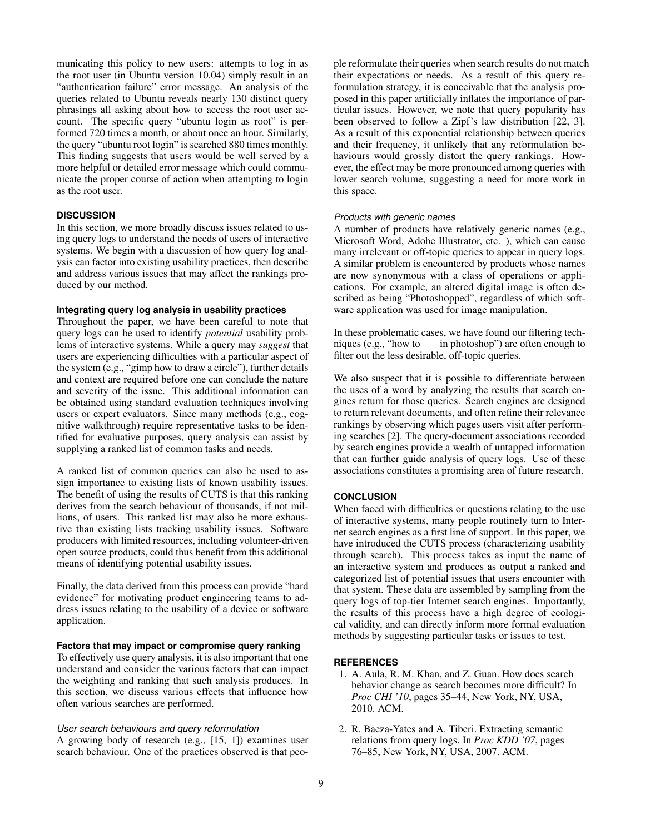municating this policy to new users: attempts to log in as the root user (in Ubuntu version 10.04) simply result in an "authentication failure" error message. An analysis of the queries related to Ubuntu reveals nearly 130 distinct query phrasings all asking about how to access the root user account. The specific query "ubuntu login as root" is performed 720 times a month, or about once an hour. Similarly, the query "ubuntu root login" is searched 880 times monthly. This finding suggests that users would be well served by a more helpful or detailed error message which could communicate the proper course of action when attempting to login as the root user.

# **DISCUSSION**

In this section, we more broadly discuss issues related to using query logs to understand the needs of users of interactive systems. We begin with a discussion of how query log analysis can factor into existing usability practices, then describe and address various issues that may affect the rankings produced by our method.

# **Integrating query log analysis in usability practices**

Throughout the paper, we have been careful to note that query logs can be used to identify *potential* usability problems of interactive systems. While a query may *suggest* that users are experiencing difficulties with a particular aspect of the system (e.g., "gimp how to draw a circle"), further details and context are required before one can conclude the nature and severity of the issue. This additional information can be obtained using standard evaluation techniques involving users or expert evaluators. Since many methods (e.g., cognitive walkthrough) require representative tasks to be identified for evaluative purposes, query analysis can assist by supplying a ranked list of common tasks and needs.

A ranked list of common queries can also be used to assign importance to existing lists of known usability issues. The benefit of using the results of CUTS is that this ranking derives from the search behaviour of thousands, if not millions, of users. This ranked list may also be more exhaustive than existing lists tracking usability issues. Software producers with limited resources, including volunteer-driven open source products, could thus benefit from this additional means of identifying potential usability issues.

Finally, the data derived from this process can provide "hard evidence" for motivating product engineering teams to address issues relating to the usability of a device or software application.

# **Factors that may impact or compromise query ranking**

To effectively use query analysis, it is also important that one understand and consider the various factors that can impact the weighting and ranking that such analysis produces. In this section, we discuss various effects that influence how often various searches are performed.

# *User search behaviours and query reformulation*

A growing body of research (e.g., [\[15,](#page-9-20) [1\]](#page-8-0)) examines user search behaviour. One of the practices observed is that people reformulate their queries when search results do not match their expectations or needs. As a result of this query reformulation strategy, it is conceivable that the analysis proposed in this paper artificially inflates the importance of particular issues. However, we note that query popularity has been observed to follow a Zipf's law distribution [\[22,](#page-9-21) [3\]](#page-9-8). As a result of this exponential relationship between queries and their frequency, it unlikely that any reformulation behaviours would grossly distort the query rankings. However, the effect may be more pronounced among queries with lower search volume, suggesting a need for more work in this space.

#### *Products with generic names*

A number of products have relatively generic names (e.g., Microsoft Word, Adobe Illustrator, etc. ), which can cause many irrelevant or off-topic queries to appear in query logs. A similar problem is encountered by products whose names are now synonymous with a class of operations or applications. For example, an altered digital image is often described as being "Photoshopped", regardless of which software application was used for image manipulation.

In these problematic cases, we have found our filtering techniques (e.g., "how to in photoshop") are often enough to filter out the less desirable, off-topic queries.

We also suspect that it is possible to differentiate between the uses of a word by analyzing the results that search engines return for those queries. Search engines are designed to return relevant documents, and often refine their relevance rankings by observing which pages users visit after performing searches [\[2\]](#page-8-1). The query-document associations recorded by search engines provide a wealth of untapped information that can further guide analysis of query logs. Use of these associations constitutes a promising area of future research.

## **CONCLUSION**

When faced with difficulties or questions relating to the use of interactive systems, many people routinely turn to Internet search engines as a first line of support. In this paper, we have introduced the CUTS process (characterizing usability through search). This process takes as input the name of an interactive system and produces as output a ranked and categorized list of potential issues that users encounter with that system. These data are assembled by sampling from the query logs of top-tier Internet search engines. Importantly, the results of this process have a high degree of ecological validity, and can directly inform more formal evaluation methods by suggesting particular tasks or issues to test.

#### <span id="page-8-0"></span>**REFERENCES**

- 1. A. Aula, R. M. Khan, and Z. Guan. How does search behavior change as search becomes more difficult? In *Proc CHI '10*, pages 35–44, New York, NY, USA, 2010. ACM.
- <span id="page-8-1"></span>2. R. Baeza-Yates and A. Tiberi. Extracting semantic relations from query logs. In *Proc KDD '07*, pages 76–85, New York, NY, USA, 2007. ACM.